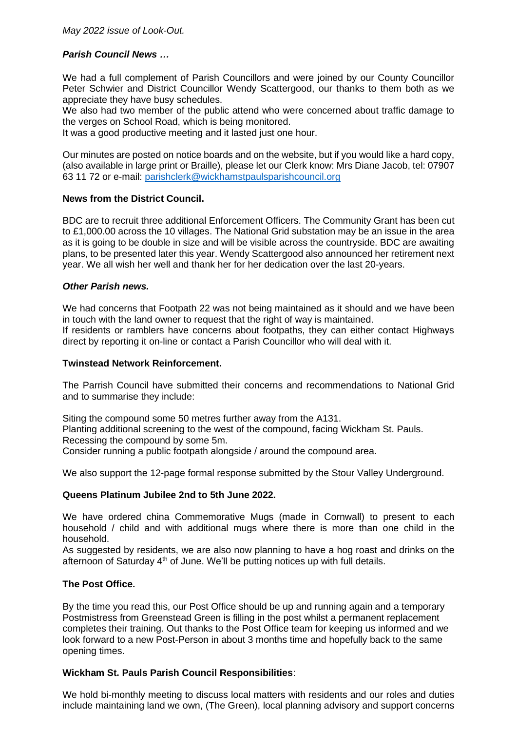# *Parish Council News …*

We had a full complement of Parish Councillors and were joined by our County Councillor Peter Schwier and District Councillor Wendy Scattergood, our thanks to them both as we appreciate they have busy schedules.

We also had two member of the public attend who were concerned about traffic damage to the verges on School Road, which is being monitored.

It was a good productive meeting and it lasted just one hour.

Our minutes are posted on notice boards and on the website, but if you would like a hard copy, (also available in large print or Braille), please let our Clerk know: Mrs Diane Jacob, tel: 07907 63 11 72 or e-mail: [parishclerk@wickhamstpaulsparishcouncil.org](mailto:parishclerk@wickhamstpaulsparishcouncil.org)

#### **News from the District Council.**

BDC are to recruit three additional Enforcement Officers. The Community Grant has been cut to £1,000.00 across the 10 villages. The National Grid substation may be an issue in the area as it is going to be double in size and will be visible across the countryside. BDC are awaiting plans, to be presented later this year. Wendy Scattergood also announced her retirement next year. We all wish her well and thank her for her dedication over the last 20-years.

#### *Other Parish news.*

We had concerns that Footpath 22 was not being maintained as it should and we have been in touch with the land owner to request that the right of way is maintained.

If residents or ramblers have concerns about footpaths, they can either contact Highways direct by reporting it on-line or contact a Parish Councillor who will deal with it.

#### **Twinstead Network Reinforcement.**

The Parrish Council have submitted their concerns and recommendations to National Grid and to summarise they include:

Siting the compound some 50 metres further away from the A131. Planting additional screening to the west of the compound, facing Wickham St. Pauls. Recessing the compound by some 5m. Consider running a public footpath alongside / around the compound area.

We also support the 12-page formal response submitted by the Stour Valley Underground.

## **Queens Platinum Jubilee 2nd to 5th June 2022.**

We have ordered china Commemorative Mugs (made in Cornwall) to present to each household / child and with additional mugs where there is more than one child in the household.

As suggested by residents, we are also now planning to have a hog roast and drinks on the afternoon of Saturday 4<sup>th</sup> of June. We'll be putting notices up with full details.

## **The Post Office.**

By the time you read this, our Post Office should be up and running again and a temporary Postmistress from Greenstead Green is filling in the post whilst a permanent replacement completes their training. Out thanks to the Post Office team for keeping us informed and we look forward to a new Post-Person in about 3 months time and hopefully back to the same opening times.

## **Wickham St. Pauls Parish Council Responsibilities**:

We hold bi-monthly meeting to discuss local matters with residents and our roles and duties include maintaining land we own, (The Green), local planning advisory and support concerns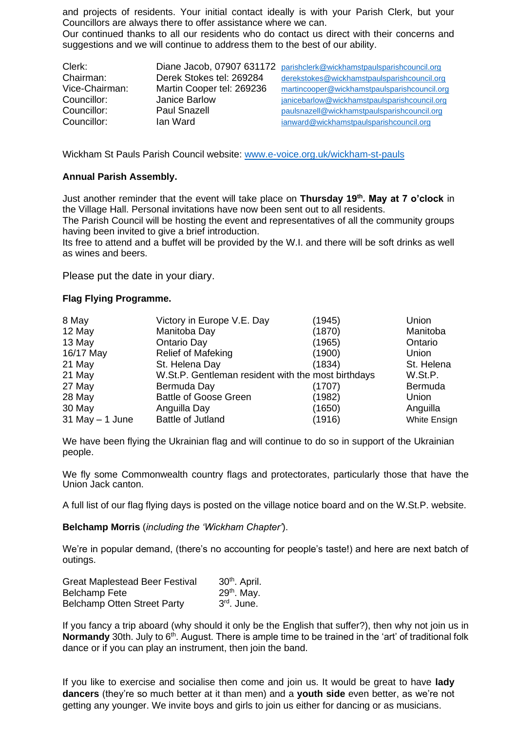and projects of residents. Your initial contact ideally is with your Parish Clerk, but your Councillors are always there to offer assistance where we can.

Our continued thanks to all our residents who do contact us direct with their concerns and suggestions and we will continue to address them to the best of our ability.

| Clerk:         |                           | Diane Jacob, 07907 631172 parishclerk@wickhamstpaulsparishcouncil.org |
|----------------|---------------------------|-----------------------------------------------------------------------|
| Chairman:      | Derek Stokes tel: 269284  | derekstokes@wickhamstpaulsparishcouncil.org                           |
| Vice-Chairman: | Martin Cooper tel: 269236 | martincooper@wickhamstpaulsparishcouncil.org                          |
| Councillor:    | Janice Barlow             | janicebarlow@wickhamstpaulsparishcouncil.org                          |
| Councillor:    | <b>Paul Snazell</b>       | paulsnazell@wickhamstpaulsparishcouncil.org                           |
| Councillor:    | lan Ward                  | janward@wickhamstpaulsparishcouncil.org                               |

Wickham St Pauls Parish Council website: [www.e-voice.org.uk/wickham-st-pauls](http://www.e-voice.org.uk/wickham-st-pauls)

## **Annual Parish Assembly.**

Just another reminder that the event will take place on **Thursday 19th. May at 7 o'clock** in the Village Hall. Personal invitations have now been sent out to all residents.

The Parish Council will be hosting the event and representatives of all the community groups having been invited to give a brief introduction.

Its free to attend and a buffet will be provided by the W.I. and there will be soft drinks as well as wines and beers.

Please put the date in your diary.

#### **Flag Flying Programme.**

| 8 May               | Victory in Europe V.E. Day                         | (1945) | Union               |
|---------------------|----------------------------------------------------|--------|---------------------|
| 12 May              | Manitoba Day                                       | (1870) | Manitoba            |
| 13 May              | Ontario Day                                        | (1965) | Ontario             |
| 16/17 May           | <b>Relief of Mafeking</b>                          | (1900) | Union               |
| 21 May              | St. Helena Day                                     | (1834) | St. Helena          |
| 21 May              | W.St.P. Gentleman resident with the most birthdays |        | W.St.P.             |
| 27 May              | Bermuda Day                                        | (1707) | Bermuda             |
| 28 May              | <b>Battle of Goose Green</b>                       | (1982) | Union               |
| 30 May              | Anguilla Day                                       | (1650) | Anguilla            |
| $31$ May $- 1$ June | <b>Battle of Jutland</b>                           | (1916) | <b>White Ensign</b> |

We have been flying the Ukrainian flag and will continue to do so in support of the Ukrainian people.

We fly some Commonwealth country flags and protectorates, particularly those that have the Union Jack canton.

A full list of our flag flying days is posted on the village notice board and on the W.St.P. website.

**Belchamp Morris** (*including the 'Wickham Chapter'*).

We're in popular demand, (there's no accounting for people's taste!) and here are next batch of outings.

| <b>Great Maplestead Beer Festival</b> | 30 <sup>th</sup> . April. |
|---------------------------------------|---------------------------|
| <b>Belchamp Fete</b>                  | $29th$ . May.             |
| <b>Belchamp Otten Street Party</b>    | 3 <sup>rd</sup> . June.   |

If you fancy a trip aboard (why should it only be the English that suffer?), then why not join us in **Normandy** 30th. July to 6<sup>th</sup>. August. There is ample time to be trained in the 'art' of traditional folk dance or if you can play an instrument, then join the band.

If you like to exercise and socialise then come and join us. It would be great to have **lady dancers** (they're so much better at it than men) and a **youth side** even better, as we're not getting any younger. We invite boys and girls to join us either for dancing or as musicians.